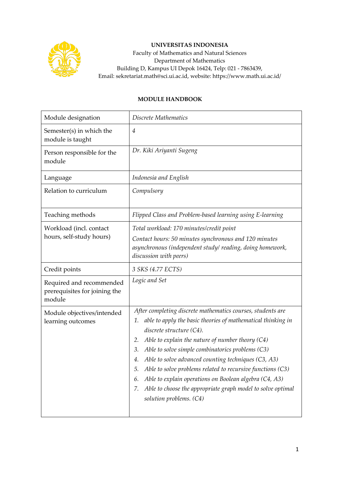

## **UNIVERSITAS INDONESIA**

Faculty of Mathematics and Natural Sciences Department of Mathematics Building D, Kampus UI Depok 16424, Telp: 021 - 7863439, Email: sekretariat.math@sci.ui.ac.id, website: https://www.math.ui.ac.id/

## **MODULE HANDBOOK**

| Module designation                                                  | Discrete Mathematics                                                                                                                                                                                                                                                                                                                                                                                                                                                                                                                                                                    |  |  |
|---------------------------------------------------------------------|-----------------------------------------------------------------------------------------------------------------------------------------------------------------------------------------------------------------------------------------------------------------------------------------------------------------------------------------------------------------------------------------------------------------------------------------------------------------------------------------------------------------------------------------------------------------------------------------|--|--|
| Semester(s) in which the<br>module is taught                        | 4                                                                                                                                                                                                                                                                                                                                                                                                                                                                                                                                                                                       |  |  |
| Person responsible for the<br>module                                | Dr. Kiki Ariyanti Sugeng                                                                                                                                                                                                                                                                                                                                                                                                                                                                                                                                                                |  |  |
| Language                                                            | Indonesia and English                                                                                                                                                                                                                                                                                                                                                                                                                                                                                                                                                                   |  |  |
| Relation to curriculum                                              | Compulsory                                                                                                                                                                                                                                                                                                                                                                                                                                                                                                                                                                              |  |  |
| Teaching methods                                                    | Flipped Class and Problem-based learning using E-learning                                                                                                                                                                                                                                                                                                                                                                                                                                                                                                                               |  |  |
| Workload (incl. contact<br>hours, self-study hours)                 | Total workload: 170 minutes/credit point<br>Contact hours: 50 minutes synchronous and 120 minutes<br>asynchronous (independent study/reading, doing homework,<br>discussion with peers)                                                                                                                                                                                                                                                                                                                                                                                                 |  |  |
| Credit points                                                       | 3 SKS (4.77 ECTS)                                                                                                                                                                                                                                                                                                                                                                                                                                                                                                                                                                       |  |  |
| Required and recommended<br>prerequisites for joining the<br>module | Logic and Set                                                                                                                                                                                                                                                                                                                                                                                                                                                                                                                                                                           |  |  |
| Module objectives/intended<br>learning outcomes                     | After completing discrete mathematics courses, students are<br>able to apply the basic theories of mathematical thinking in<br>1.<br>discrete structure $(C4)$ .<br>Able to explain the nature of number theory $(C4)$<br>2.<br>Able to solve simple combinatorics problems (C3)<br>3.<br>Able to solve advanced counting techniques (C3, A3)<br>4.<br>Able to solve problems related to recursive functions (C3)<br>5.<br>Able to explain operations on Boolean algebra (C4, A3)<br>6.<br>Able to choose the appropriate graph model to solve optimal<br>7.<br>solution problems. (C4) |  |  |